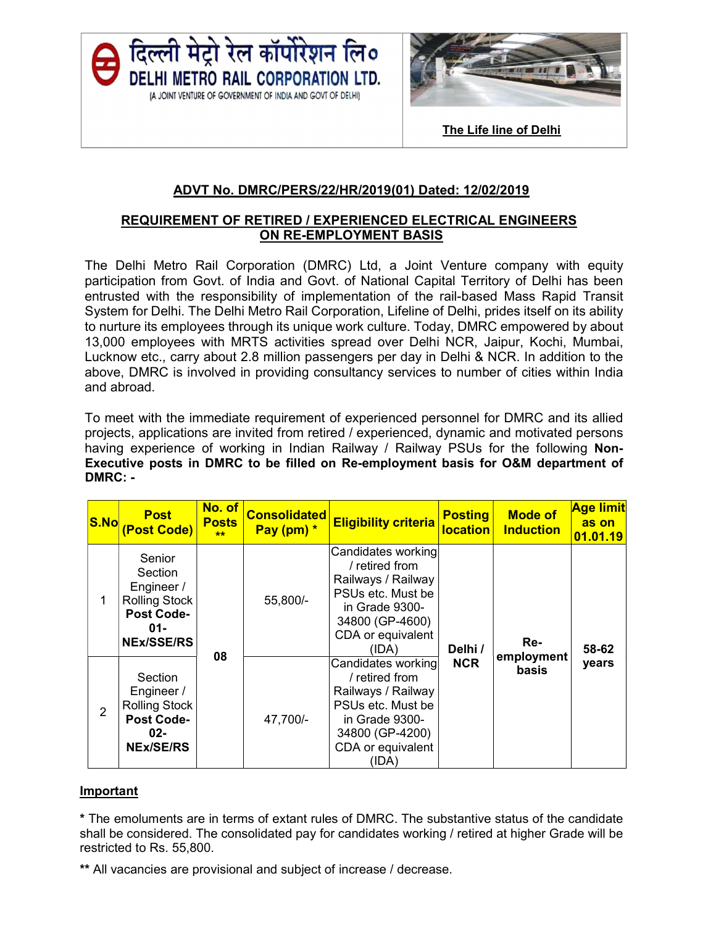



The Life line of Delhi

## ADVT No. DMRC/PERS/22/HR/2019(01) Dated: 12/02/2019

# REQUIREMENT OF RETIRED / EXPERIENCED ELECTRICAL ENGINEERS ON RE-EMPLOYMENT BASIS

The Delhi Metro Rail Corporation (DMRC) Ltd, a Joint Venture company with equity participation from Govt. of India and Govt. of National Capital Territory of Delhi has been entrusted with the responsibility of implementation of the rail-based Mass Rapid Transit System for Delhi. The Delhi Metro Rail Corporation, Lifeline of Delhi, prides itself on its ability to nurture its employees through its unique work culture. Today, DMRC empowered by about 13,000 employees with MRTS activities spread over Delhi NCR, Jaipur, Kochi, Mumbai, Lucknow etc., carry about 2.8 million passengers per day in Delhi & NCR. In addition to the above, DMRC is involved in providing consultancy services to number of cities within India and abroad.

 To meet with the immediate requirement of experienced personnel for DMRC and its allied projects, applications are invited from retired / experienced, dynamic and motivated persons having experience of working in Indian Railway / Railway PSUs for the following Non-Executive posts in DMRC to be filled on Re-employment basis for O&M department of DMRC: -

| <b>S.No</b>    | <b>Post</b><br>(Post Code)                                                                                  | No. of<br><b>Posts</b><br>头头 | <b>Consolidated</b><br>Pay (pm) * | <b>Eligibility criteria</b>                                                                                                                      | <b>Posting</b><br><b>location</b> | <b>Mode of</b><br><b>Induction</b> | <b>Age limit</b><br>as on<br>01.01.19 |
|----------------|-------------------------------------------------------------------------------------------------------------|------------------------------|-----------------------------------|--------------------------------------------------------------------------------------------------------------------------------------------------|-----------------------------------|------------------------------------|---------------------------------------|
|                | Senior<br>Section<br>Engineer /<br><b>Rolling Stock</b><br><b>Post Code-</b><br>$01 -$<br><b>NEx/SSE/RS</b> | 08                           | 55,800/-                          | Candidates working<br>retired from<br>Railways / Railway<br>PSUs etc. Must be<br>in Grade 9300-<br>34800 (GP-4600)<br>CDA or equivalent<br>(IDA) | Delhi /                           | Re-                                | 58-62                                 |
| $\overline{2}$ | Section<br>Engineer /<br><b>Rolling Stock</b><br><b>Post Code-</b><br>$02 -$<br><b>NEx/SE/RS</b>            |                              | 47,700/-                          | Candidates working<br>retired from<br>Railways / Railway<br>PSUs etc. Must be<br>in Grade 9300-<br>34800 (GP-4200)<br>CDA or equivalent<br>(IDA) | <b>NCR</b>                        | employment<br><b>basis</b>         | years                                 |

### **Important**

\* The emoluments are in terms of extant rules of DMRC. The substantive status of the candidate shall be considered. The consolidated pay for candidates working / retired at higher Grade will be restricted to Rs. 55,800.

\*\* All vacancies are provisional and subject of increase / decrease.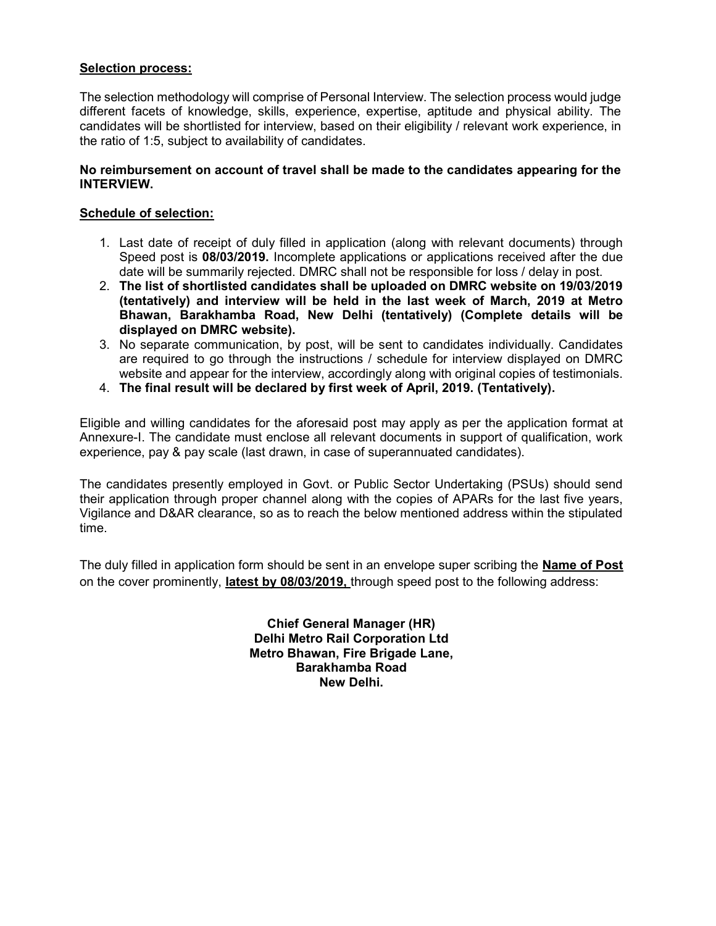### Selection process:

The selection methodology will comprise of Personal Interview. The selection process would judge different facets of knowledge, skills, experience, expertise, aptitude and physical ability. The candidates will be shortlisted for interview, based on their eligibility / relevant work experience, in the ratio of 1:5, subject to availability of candidates.

### No reimbursement on account of travel shall be made to the candidates appearing for the INTERVIEW.

### Schedule of selection:

- 1. Last date of receipt of duly filled in application (along with relevant documents) through Speed post is 08/03/2019. Incomplete applications or applications received after the due date will be summarily rejected. DMRC shall not be responsible for loss / delay in post.
- 2. The list of shortlisted candidates shall be uploaded on DMRC website on 19/03/2019 (tentatively) and interview will be held in the last week of March, 2019 at Metro Bhawan, Barakhamba Road, New Delhi (tentatively) (Complete details will be displayed on DMRC website).
- 3. No separate communication, by post, will be sent to candidates individually. Candidates are required to go through the instructions / schedule for interview displayed on DMRC website and appear for the interview, accordingly along with original copies of testimonials.
- 4. The final result will be declared by first week of April, 2019. (Tentatively).

Eligible and willing candidates for the aforesaid post may apply as per the application format at Annexure-I. The candidate must enclose all relevant documents in support of qualification, work experience, pay & pay scale (last drawn, in case of superannuated candidates).

The candidates presently employed in Govt. or Public Sector Undertaking (PSUs) should send their application through proper channel along with the copies of APARs for the last five years, Vigilance and D&AR clearance, so as to reach the below mentioned address within the stipulated time.

The duly filled in application form should be sent in an envelope super scribing the **Name of Post** on the cover prominently, latest by 08/03/2019, through speed post to the following address:

> Chief General Manager (HR) Delhi Metro Rail Corporation Ltd Metro Bhawan, Fire Brigade Lane, Barakhamba Road New Delhi.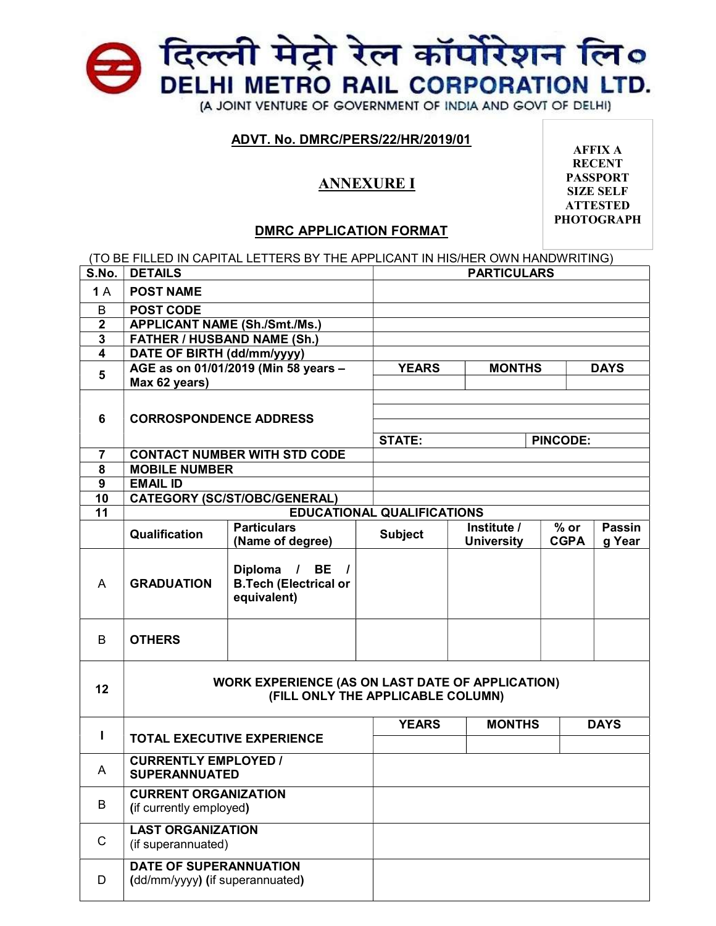## e दिल्ली मेट्रो रेल कॉर्पोरेशन लि० DELHI METRO RAIL CORPORATION LTD. (A JOINT VENTURE OF GOVERNMENT OF INDIA AND GOVT OF DELHI)

### ADVT. No. DMRC/PERS/22/HR/2019/01

## ANNEXURE I

AFFIX A **RECENT** PASSPORT SIZE SELF **ATTESTED** PHOTOGRAPH

### DMRC APPLICATION FORMAT

|                         |                                                                                              | (TO BE FILLED IN CAPITAL LETTERS BY THE APPLICANT IN HIS/HER OWN HANDWRITING) |                |                                  |                       |               |  |
|-------------------------|----------------------------------------------------------------------------------------------|-------------------------------------------------------------------------------|----------------|----------------------------------|-----------------------|---------------|--|
| S.No.                   | <b>DETAILS</b>                                                                               |                                                                               |                | <b>PARTICULARS</b>               |                       |               |  |
| 1A                      | <b>POST NAME</b>                                                                             |                                                                               |                |                                  |                       |               |  |
| B                       | <b>POST CODE</b>                                                                             |                                                                               |                |                                  |                       |               |  |
| $\mathbf{2}$            | <b>APPLICANT NAME (Sh./Smt./Ms.)</b>                                                         |                                                                               |                |                                  |                       |               |  |
| 3                       | <b>FATHER / HUSBAND NAME (Sh.)</b>                                                           |                                                                               |                |                                  |                       |               |  |
| $\overline{\mathbf{4}}$ | DATE OF BIRTH (dd/mm/yyyy)                                                                   |                                                                               |                |                                  |                       |               |  |
| 5                       |                                                                                              | AGE as on 01/01/2019 (Min 58 years -                                          | <b>YEARS</b>   | <b>MONTHS</b>                    |                       | <b>DAYS</b>   |  |
|                         | Max 62 years)                                                                                |                                                                               |                |                                  |                       |               |  |
|                         |                                                                                              |                                                                               |                |                                  |                       |               |  |
| 6                       | <b>CORROSPONDENCE ADDRESS</b>                                                                |                                                                               |                |                                  |                       |               |  |
|                         |                                                                                              |                                                                               |                |                                  |                       |               |  |
|                         |                                                                                              |                                                                               |                | <b>STATE:</b><br><b>PINCODE:</b> |                       |               |  |
| $\overline{7}$          |                                                                                              | <b>CONTACT NUMBER WITH STD CODE</b>                                           |                |                                  |                       |               |  |
| 8                       | <b>MOBILE NUMBER</b>                                                                         |                                                                               |                |                                  |                       |               |  |
| 9                       | <b>EMAIL ID</b>                                                                              |                                                                               |                |                                  |                       |               |  |
| 10                      | <b>CATEGORY (SC/ST/OBC/GENERAL)</b>                                                          |                                                                               |                |                                  |                       |               |  |
| 11                      | <b>EDUCATIONAL QUALIFICATIONS</b><br><b>Particulars</b>                                      |                                                                               |                |                                  |                       | <b>Passin</b> |  |
|                         | Qualification                                                                                | (Name of degree)                                                              | <b>Subject</b> | Institute /<br><b>University</b> | $%$ or<br><b>CGPA</b> | g Year        |  |
| A                       | <b>GRADUATION</b>                                                                            | Diploma / BE<br><b>B.Tech (Electrical or</b><br>equivalent)                   |                |                                  |                       |               |  |
| B                       | <b>OTHERS</b>                                                                                |                                                                               |                |                                  |                       |               |  |
| 12                      | <b>WORK EXPERIENCE (AS ON LAST DATE OF APPLICATION)</b><br>(FILL ONLY THE APPLICABLE COLUMN) |                                                                               |                |                                  |                       |               |  |
|                         |                                                                                              |                                                                               | <b>YEARS</b>   | <b>MONTHS</b>                    |                       | <b>DAYS</b>   |  |
| L                       |                                                                                              | <b>TOTAL EXECUTIVE EXPERIENCE</b>                                             |                |                                  |                       |               |  |
|                         | <b>CURRENTLY EMPLOYED /</b>                                                                  |                                                                               |                |                                  |                       |               |  |
| A                       | <b>SUPERANNUATED</b>                                                                         |                                                                               |                |                                  |                       |               |  |
|                         | <b>CURRENT ORGANIZATION</b>                                                                  |                                                                               |                |                                  |                       |               |  |
| B                       | (if currently employed)                                                                      |                                                                               |                |                                  |                       |               |  |
| C                       | <b>LAST ORGANIZATION</b><br>(if superannuated)                                               |                                                                               |                |                                  |                       |               |  |
| D                       | <b>DATE OF SUPERANNUATION</b><br>(dd/mm/yyyy) (if superannuated)                             |                                                                               |                |                                  |                       |               |  |

 $\mathbf{I}$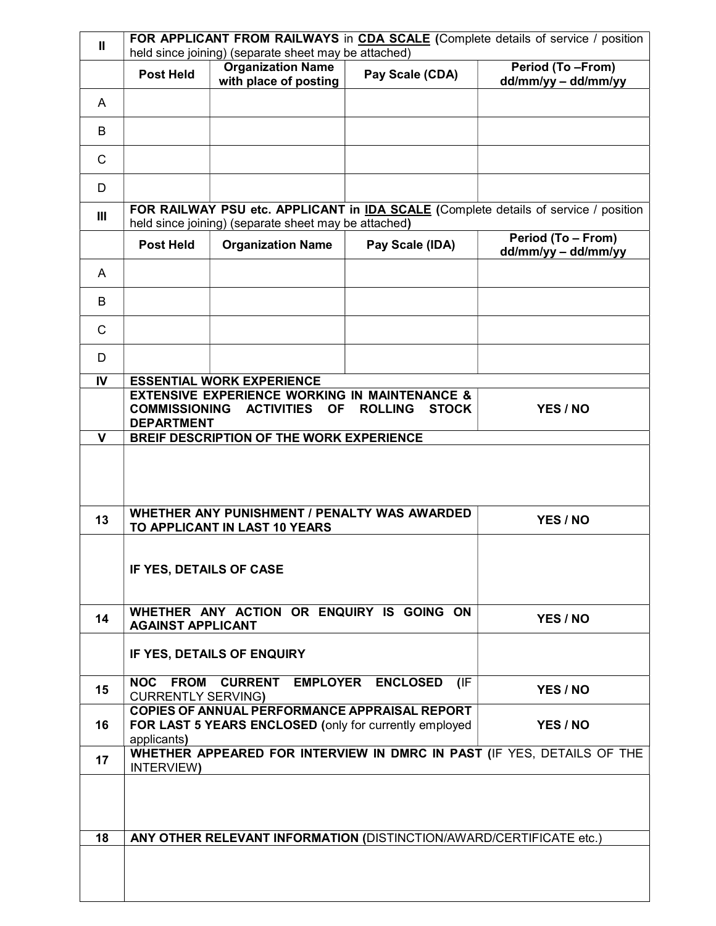| $\mathbf{u}$   | FOR APPLICANT FROM RAILWAYS in CDA SCALE (Complete details of service / position<br>held since joining) (separate sheet may be attached)                                              |                                                                     |                 |                                                                                     |  |  |  |
|----------------|---------------------------------------------------------------------------------------------------------------------------------------------------------------------------------------|---------------------------------------------------------------------|-----------------|-------------------------------------------------------------------------------------|--|--|--|
|                | <b>Post Held</b>                                                                                                                                                                      | <b>Organization Name</b><br>with place of posting                   | Pay Scale (CDA) | Period (To -From)<br>dd/mm/yy - dd/mm/yy                                            |  |  |  |
| A              |                                                                                                                                                                                       |                                                                     |                 |                                                                                     |  |  |  |
| B              |                                                                                                                                                                                       |                                                                     |                 |                                                                                     |  |  |  |
| $\mathsf{C}$   |                                                                                                                                                                                       |                                                                     |                 |                                                                                     |  |  |  |
| D              |                                                                                                                                                                                       |                                                                     |                 |                                                                                     |  |  |  |
| $\mathbf{III}$ |                                                                                                                                                                                       | held since joining) (separate sheet may be attached)                |                 | FOR RAILWAY PSU etc. APPLICANT in IDA SCALE (Complete details of service / position |  |  |  |
|                | <b>Post Held</b>                                                                                                                                                                      | <b>Organization Name</b>                                            | Pay Scale (IDA) | Period (To - From)<br>$dd/mm/yy - dd/mm/yy$                                         |  |  |  |
| A              |                                                                                                                                                                                       |                                                                     |                 |                                                                                     |  |  |  |
| B              |                                                                                                                                                                                       |                                                                     |                 |                                                                                     |  |  |  |
| $\mathsf{C}$   |                                                                                                                                                                                       |                                                                     |                 |                                                                                     |  |  |  |
| D              |                                                                                                                                                                                       |                                                                     |                 |                                                                                     |  |  |  |
| IV             |                                                                                                                                                                                       | <b>ESSENTIAL WORK EXPERIENCE</b>                                    |                 |                                                                                     |  |  |  |
|                | <b>EXTENSIVE EXPERIENCE WORKING IN MAINTENANCE &amp;</b><br><b>COMMISSIONING</b><br><b>ACTIVITIES</b><br><b>OF</b><br><b>ROLLING</b><br><b>STOCK</b><br>YES / NO<br><b>DEPARTMENT</b> |                                                                     |                 |                                                                                     |  |  |  |
| $\mathbf{V}$   | BREIF DESCRIPTION OF THE WORK EXPERIENCE                                                                                                                                              |                                                                     |                 |                                                                                     |  |  |  |
|                |                                                                                                                                                                                       |                                                                     |                 |                                                                                     |  |  |  |
| 13             | <b>WHETHER ANY PUNISHMENT / PENALTY WAS AWARDED</b><br>YES / NO<br>TO APPLICANT IN LAST 10 YEARS                                                                                      |                                                                     |                 |                                                                                     |  |  |  |
|                | IF YES, DETAILS OF CASE                                                                                                                                                               |                                                                     |                 |                                                                                     |  |  |  |
| 14             | WHETHER ANY ACTION OR ENQUIRY IS GOING ON<br>YES / NO<br><b>AGAINST APPLICANT</b>                                                                                                     |                                                                     |                 |                                                                                     |  |  |  |
|                | IF YES, DETAILS OF ENQUIRY                                                                                                                                                            |                                                                     |                 |                                                                                     |  |  |  |
| 15             | NOC FROM<br><b>CURRENTLY SERVING)</b>                                                                                                                                                 | CURRENT EMPLOYER ENCLOSED                                           | (IF             | YES / NO                                                                            |  |  |  |
| 16             | COPIES OF ANNUAL PERFORMANCE APPRAISAL REPORT<br>FOR LAST 5 YEARS ENCLOSED (only for currently employed<br>YES / NO<br>applicants)                                                    |                                                                     |                 |                                                                                     |  |  |  |
| 17             | INTERVIEW)                                                                                                                                                                            |                                                                     |                 | WHETHER APPEARED FOR INTERVIEW IN DMRC IN PAST (IF YES, DETAILS OF THE              |  |  |  |
|                |                                                                                                                                                                                       |                                                                     |                 |                                                                                     |  |  |  |
| 18             |                                                                                                                                                                                       | ANY OTHER RELEVANT INFORMATION (DISTINCTION/AWARD/CERTIFICATE etc.) |                 |                                                                                     |  |  |  |
|                |                                                                                                                                                                                       |                                                                     |                 |                                                                                     |  |  |  |